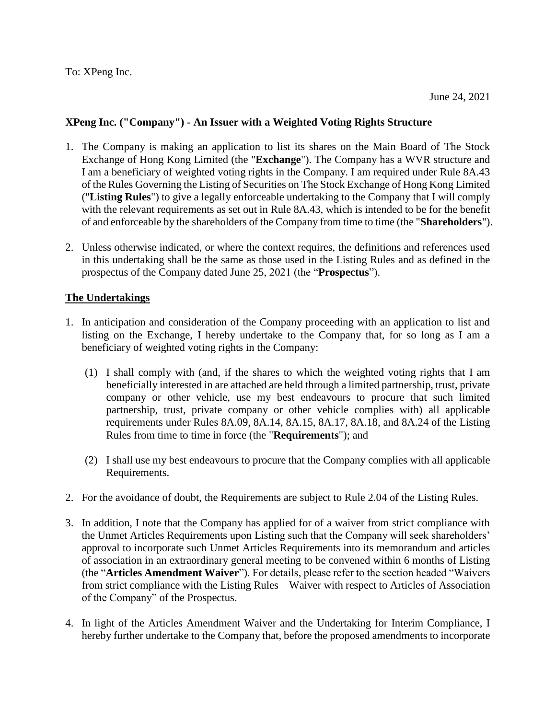## **XPeng Inc. ("Company") - An Issuer with a Weighted Voting Rights Structure**

- 1. The Company is making an application to list its shares on the Main Board of The Stock Exchange of Hong Kong Limited (the "**Exchange**"). The Company has a WVR structure and I am a beneficiary of weighted voting rights in the Company. I am required under Rule 8A.43 of the Rules Governing the Listing of Securities on The Stock Exchange of Hong Kong Limited ("**Listing Rules**") to give a legally enforceable undertaking to the Company that I will comply with the relevant requirements as set out in Rule 8A.43, which is intended to be for the benefit of and enforceable by the shareholders of the Company from time to time (the "**Shareholders**").
- 2. Unless otherwise indicated, or where the context requires, the definitions and references used in this undertaking shall be the same as those used in the Listing Rules and as defined in the prospectus of the Company dated June 25, 2021 (the "**Prospectus**").

## **The Undertakings**

- 1. In anticipation and consideration of the Company proceeding with an application to list and listing on the Exchange, I hereby undertake to the Company that, for so long as I am a beneficiary of weighted voting rights in the Company:
	- (1) I shall comply with (and, if the shares to which the weighted voting rights that I am beneficially interested in are attached are held through a limited partnership, trust, private company or other vehicle, use my best endeavours to procure that such limited partnership, trust, private company or other vehicle complies with) all applicable requirements under Rules 8A.09, 8A.14, 8A.15, 8A.17, 8A.18, and 8A.24 of the Listing Rules from time to time in force (the "**Requirements**"); and
	- (2) I shall use my best endeavours to procure that the Company complies with all applicable Requirements.
- 2. For the avoidance of doubt, the Requirements are subject to Rule 2.04 of the Listing Rules.
- 3. In addition, I note that the Company has applied for of a waiver from strict compliance with the Unmet Articles Requirements upon Listing such that the Company will seek shareholders' approval to incorporate such Unmet Articles Requirements into its memorandum and articles of association in an extraordinary general meeting to be convened within 6 months of Listing (the "**Articles Amendment Waiver**"). For details, please refer to the section headed "Waivers from strict compliance with the Listing Rules – Waiver with respect to Articles of Association of the Company" of the Prospectus.
- 4. In light of the Articles Amendment Waiver and the Undertaking for Interim Compliance, I hereby further undertake to the Company that, before the proposed amendments to incorporate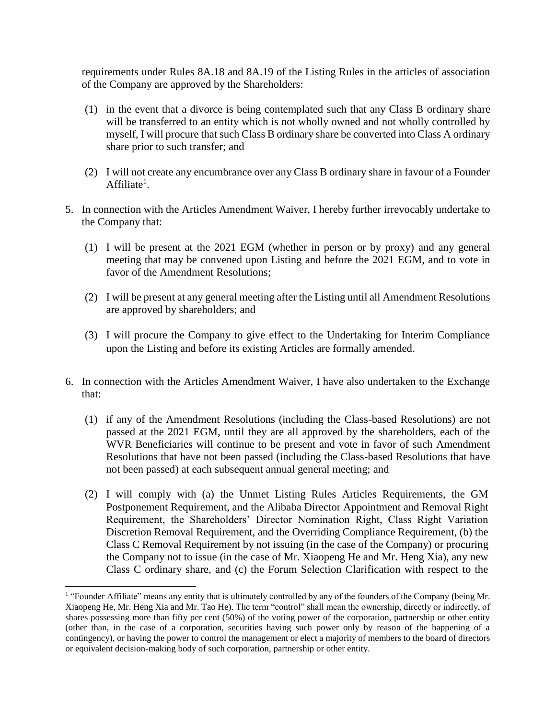requirements under Rules 8A.18 and 8A.19 of the Listing Rules in the articles of association of the Company are approved by the Shareholders:

- (1) in the event that a divorce is being contemplated such that any Class B ordinary share will be transferred to an entity which is not wholly owned and not wholly controlled by myself, I will procure that such Class B ordinary share be converted into Class A ordinary share prior to such transfer; and
- (2) I will not create any encumbrance over any Class B ordinary share in favour of a Founder Affiliate<sup>1</sup>.
- 5. In connection with the Articles Amendment Waiver, I hereby further irrevocably undertake to the Company that:
	- (1) I will be present at the 2021 EGM (whether in person or by proxy) and any general meeting that may be convened upon Listing and before the 2021 EGM, and to vote in favor of the Amendment Resolutions;
	- (2) I will be present at any general meeting after the Listing until all Amendment Resolutions are approved by shareholders; and
	- (3) I will procure the Company to give effect to the Undertaking for Interim Compliance upon the Listing and before its existing Articles are formally amended.
- 6. In connection with the Articles Amendment Waiver, I have also undertaken to the Exchange that:
	- (1) if any of the Amendment Resolutions (including the Class-based Resolutions) are not passed at the 2021 EGM, until they are all approved by the shareholders, each of the WVR Beneficiaries will continue to be present and vote in favor of such Amendment Resolutions that have not been passed (including the Class-based Resolutions that have not been passed) at each subsequent annual general meeting; and
	- (2) I will comply with (a) the Unmet Listing Rules Articles Requirements, the GM Postponement Requirement, and the Alibaba Director Appointment and Removal Right Requirement, the Shareholders' Director Nomination Right, Class Right Variation Discretion Removal Requirement, and the Overriding Compliance Requirement, (b) the Class C Removal Requirement by not issuing (in the case of the Company) or procuring the Company not to issue (in the case of Mr. Xiaopeng He and Mr. Heng Xia), any new Class C ordinary share, and (c) the Forum Selection Clarification with respect to the

 $\overline{\phantom{a}}$ 

<sup>&</sup>lt;sup>1</sup> "Founder Affiliate" means any entity that is ultimately controlled by any of the founders of the Company (being Mr. Xiaopeng He, Mr. Heng Xia and Mr. Tao He). The term "control" shall mean the ownership, directly or indirectly, of shares possessing more than fifty per cent (50%) of the voting power of the corporation, partnership or other entity (other than, in the case of a corporation, securities having such power only by reason of the happening of a contingency), or having the power to control the management or elect a majority of members to the board of directors or equivalent decision-making body of such corporation, partnership or other entity.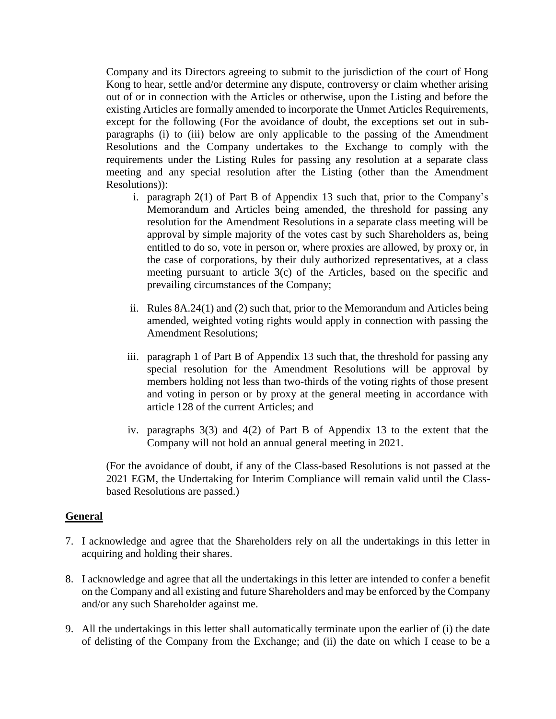Company and its Directors agreeing to submit to the jurisdiction of the court of Hong Kong to hear, settle and/or determine any dispute, controversy or claim whether arising out of or in connection with the Articles or otherwise, upon the Listing and before the existing Articles are formally amended to incorporate the Unmet Articles Requirements, except for the following (For the avoidance of doubt, the exceptions set out in subparagraphs (i) to (iii) below are only applicable to the passing of the Amendment Resolutions and the Company undertakes to the Exchange to comply with the requirements under the Listing Rules for passing any resolution at a separate class meeting and any special resolution after the Listing (other than the Amendment Resolutions)):

- i. paragraph 2(1) of Part B of Appendix 13 such that, prior to the Company's Memorandum and Articles being amended, the threshold for passing any resolution for the Amendment Resolutions in a separate class meeting will be approval by simple majority of the votes cast by such Shareholders as, being entitled to do so, vote in person or, where proxies are allowed, by proxy or, in the case of corporations, by their duly authorized representatives, at a class meeting pursuant to article 3(c) of the Articles, based on the specific and prevailing circumstances of the Company;
- ii. Rules 8A.24(1) and (2) such that, prior to the Memorandum and Articles being amended, weighted voting rights would apply in connection with passing the Amendment Resolutions;
- iii. paragraph 1 of Part B of Appendix 13 such that, the threshold for passing any special resolution for the Amendment Resolutions will be approval by members holding not less than two-thirds of the voting rights of those present and voting in person or by proxy at the general meeting in accordance with article 128 of the current Articles; and
- iv. paragraphs 3(3) and 4(2) of Part B of Appendix 13 to the extent that the Company will not hold an annual general meeting in 2021.

(For the avoidance of doubt, if any of the Class-based Resolutions is not passed at the 2021 EGM, the Undertaking for Interim Compliance will remain valid until the Classbased Resolutions are passed.)

## **General**

- 7. I acknowledge and agree that the Shareholders rely on all the undertakings in this letter in acquiring and holding their shares.
- 8. I acknowledge and agree that all the undertakings in this letter are intended to confer a benefit on the Company and all existing and future Shareholders and may be enforced by the Company and/or any such Shareholder against me.
- 9. All the undertakings in this letter shall automatically terminate upon the earlier of (i) the date of delisting of the Company from the Exchange; and (ii) the date on which I cease to be a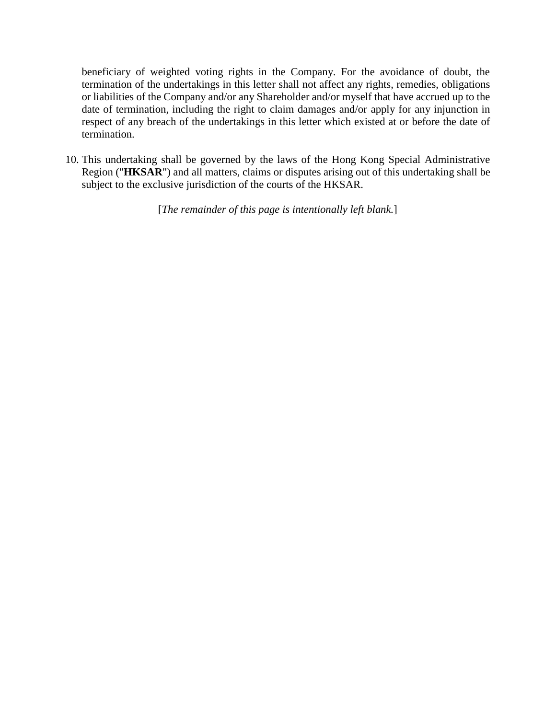beneficiary of weighted voting rights in the Company. For the avoidance of doubt, the termination of the undertakings in this letter shall not affect any rights, remedies, obligations or liabilities of the Company and/or any Shareholder and/or myself that have accrued up to the date of termination, including the right to claim damages and/or apply for any injunction in respect of any breach of the undertakings in this letter which existed at or before the date of termination.

10. This undertaking shall be governed by the laws of the Hong Kong Special Administrative Region ("**HKSAR**") and all matters, claims or disputes arising out of this undertaking shall be subject to the exclusive jurisdiction of the courts of the HKSAR.

[*The remainder of this page is intentionally left blank.*]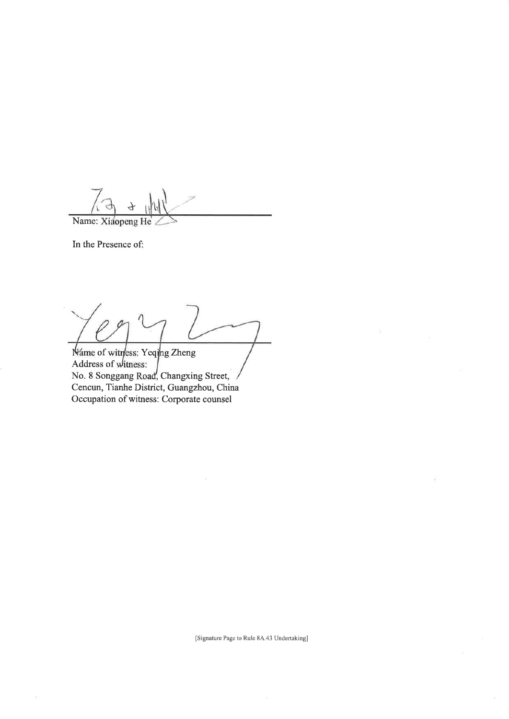Name: Xiaopeng He

In the Presence of:

Náme of witness: Yeqing Zheng Address of witness: No. 8 Songgang Road, Changxing Street, Cencun, Tianhe District, Guangzhou, China Occupation of witness: Corporate counsel

[Signature Page to Rule 8A.43 Undertaking]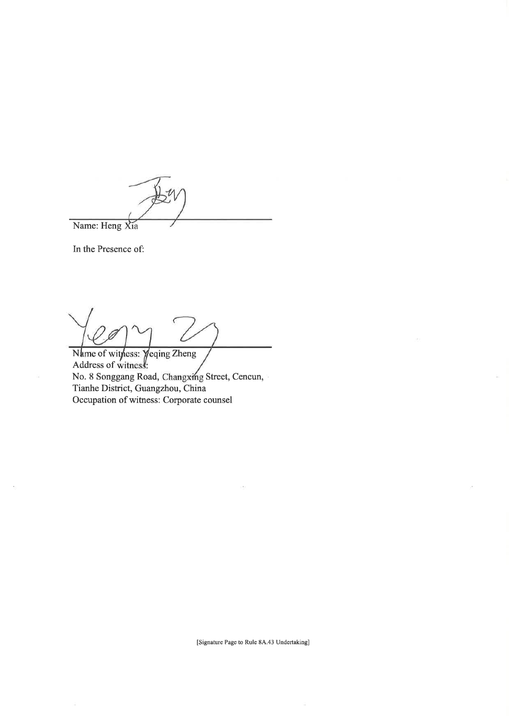Name: Heng Xia

In the Presence of:

Name of withess: Yeqing Zheng<br>Address of witness: No. 8 Songgang Road, Changxing Street, Cencun, Tianhe District, Guangzhou, China Occupation of witness: Corporate counsel

[Signature Page to Rule 8A.43 Undertaking]